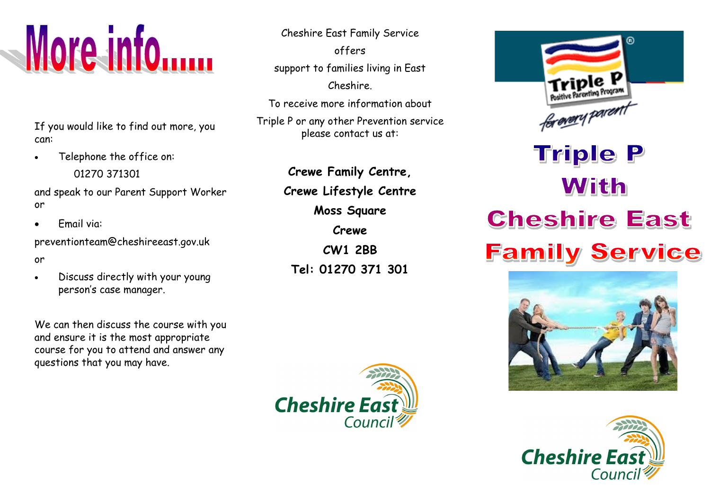

If you would like to find out more, you can:

 Telephone the office on: 01270 371301

and speak to our Parent Support Worker or

Email via:

preventionteam@cheshireeast.gov.uk

- or
- Discuss directly with your young person's case manager.

We can then discuss the course with you and ensure it is the most appropriate course for you to attend and answer any questions that you may have.

Cheshire East Family Service offers support to families living in East Cheshire.

To receive more information about Triple P or any other Prevention service please contact us at:

> **Crewe Family Centre, Crewe Lifestyle Centre Moss Square Crewe CW1 2BB Tel: 01270 371 301**



## **Triple P** With **Cheshire East Family Service**